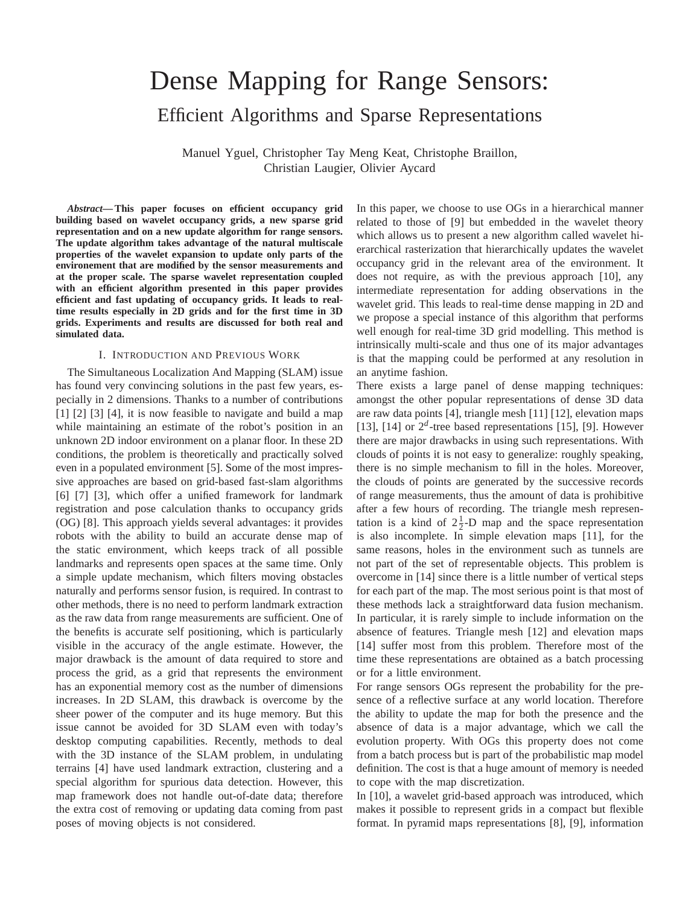# Dense Mapping for Range Sensors: Efficient Algorithms and Sparse Representations

Manuel Yguel, Christopher Tay Meng Keat, Christophe Braillon, Christian Laugier, Olivier Aycard

*Abstract***— This paper focuses on efficient occupancy grid building based on wavelet occupancy grids, a new sparse grid representation and on a new update algorithm for range sensors. The update algorithm takes advantage of the natural multiscale properties of the wavelet expansion to update only parts of the environement that are modified by the sensor measurements and at the proper scale. The sparse wavelet representation coupled with an efficient algorithm presented in this paper provides efficient and fast updating of occupancy grids. It leads to realtime results especially in 2D grids and for the first time in 3D grids. Experiments and results are discussed for both real and simulated data.**

#### I. INTRODUCTION AND PREVIOUS WORK

The Simultaneous Localization And Mapping (SLAM) issue has found very convincing solutions in the past few years, especially in 2 dimensions. Thanks to a number of contributions [1] [2] [3] [4], it is now feasible to navigate and build a map while maintaining an estimate of the robot's position in an unknown 2D indoor environment on a planar floor. In these 2D conditions, the problem is theoretically and practically solved even in a populated environment [5]. Some of the most impressive approaches are based on grid-based fast-slam algorithms [6] [7] [3], which offer a unified framework for landmark registration and pose calculation thanks to occupancy grids (OG) [8]. This approach yields several advantages: it provides robots with the ability to build an accurate dense map of the static environment, which keeps track of all possible landmarks and represents open spaces at the same time. Only a simple update mechanism, which filters moving obstacles naturally and performs sensor fusion, is required. In contrast to other methods, there is no need to perform landmark extraction as the raw data from range measurements are sufficient. One of the benefits is accurate self positioning, which is particularly visible in the accuracy of the angle estimate. However, the major drawback is the amount of data required to store and process the grid, as a grid that represents the environment has an exponential memory cost as the number of dimensions increases. In 2D SLAM, this drawback is overcome by the sheer power of the computer and its huge memory. But this issue cannot be avoided for 3D SLAM even with today's desktop computing capabilities. Recently, methods to deal with the 3D instance of the SLAM problem, in undulating terrains [4] have used landmark extraction, clustering and a special algorithm for spurious data detection. However, this map framework does not handle out-of-date data; therefore the extra cost of removing or updating data coming from past poses of moving objects is not considered.

In this paper, we choose to use OGs in a hierarchical manner related to those of [9] but embedded in the wavelet theory which allows us to present a new algorithm called wavelet hierarchical rasterization that hierarchically updates the wavelet occupancy grid in the relevant area of the environment. It does not require, as with the previous approach [10], any intermediate representation for adding observations in the wavelet grid. This leads to real-time dense mapping in 2D and we propose a special instance of this algorithm that performs well enough for real-time 3D grid modelling. This method is intrinsically multi-scale and thus one of its major advantages is that the mapping could be performed at any resolution in an anytime fashion.

There exists a large panel of dense mapping techniques: amongst the other popular representations of dense 3D data are raw data points [4], triangle mesh [11] [12], elevation maps [13], [14] or  $2^d$ -tree based representations [15], [9]. However there are major drawbacks in using such representations. With clouds of points it is not easy to generalize: roughly speaking, there is no simple mechanism to fill in the holes. Moreover, the clouds of points are generated by the successive records of range measurements, thus the amount of data is prohibitive after a few hours of recording. The triangle mesh representation is a kind of  $2\frac{1}{2}$ -D map and the space representation is also incomplete. In simple elevation maps [11], for the same reasons, holes in the environment such as tunnels are not part of the set of representable objects. This problem is overcome in [14] since there is a little number of vertical steps for each part of the map. The most serious point is that most of these methods lack a straightforward data fusion mechanism. In particular, it is rarely simple to include information on the absence of features. Triangle mesh [12] and elevation maps [14] suffer most from this problem. Therefore most of the time these representations are obtained as a batch processing or for a little environment.

For range sensors OGs represent the probability for the presence of a reflective surface at any world location. Therefore the ability to update the map for both the presence and the absence of data is a major advantage, which we call the evolution property. With OGs this property does not come from a batch process but is part of the probabilistic map model definition. The cost is that a huge amount of memory is needed to cope with the map discretization.

In [10], a wavelet grid-based approach was introduced, which makes it possible to represent grids in a compact but flexible format. In pyramid maps representations [8], [9], information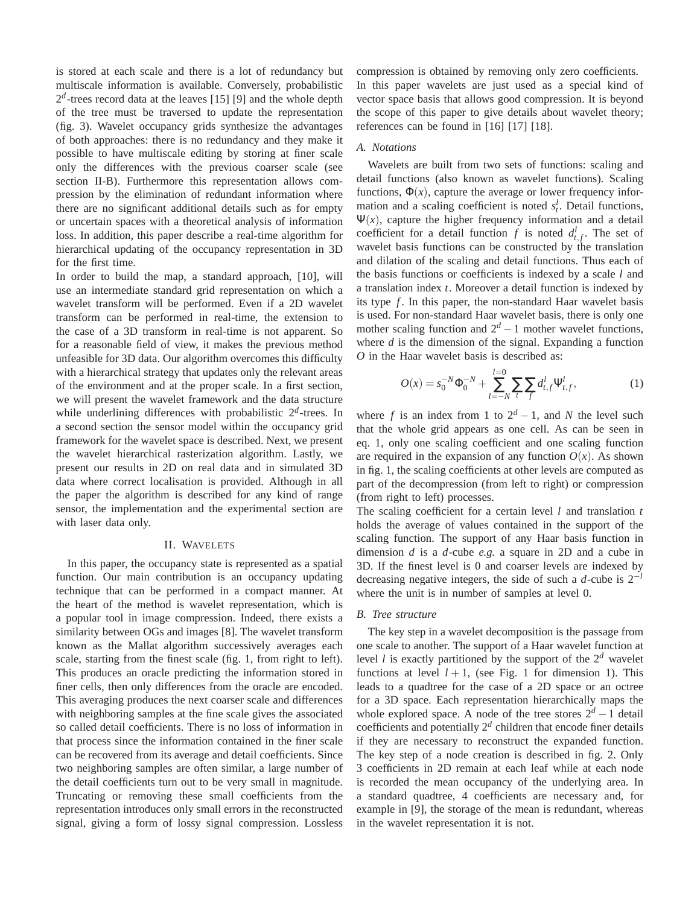is stored at each scale and there is a lot of redundancy but multiscale information is available. Conversely, probabilistic  $2<sup>d</sup>$ -trees record data at the leaves [15] [9] and the whole depth of the tree must be traversed to update the representation (fig. 3). Wavelet occupancy grids synthesize the advantages of both approaches: there is no redundancy and they make it possible to have multiscale editing by storing at finer scale only the differences with the previous coarser scale (see section II-B). Furthermore this representation allows compression by the elimination of redundant information where there are no significant additional details such as for empty or uncertain spaces with a theoretical analysis of information loss. In addition, this paper describe a real-time algorithm for hierarchical updating of the occupancy representation in 3D for the first time.

In order to build the map, a standard approach, [10], will use an intermediate standard grid representation on which a wavelet transform will be performed. Even if a 2D wavelet transform can be performed in real-time, the extension to the case of a 3D transform in real-time is not apparent. So for a reasonable field of view, it makes the previous method unfeasible for 3D data. Our algorithm overcomes this difficulty with a hierarchical strategy that updates only the relevant areas of the environment and at the proper scale. In a first section, we will present the wavelet framework and the data structure while underlining differences with probabilistic  $2^d$ -trees. In a second section the sensor model within the occupancy grid framework for the wavelet space is described. Next, we present the wavelet hierarchical rasterization algorithm. Lastly, we present our results in 2D on real data and in simulated 3D data where correct localisation is provided. Although in all the paper the algorithm is described for any kind of range sensor, the implementation and the experimental section are with laser data only.

#### II. WAVELETS

In this paper, the occupancy state is represented as a spatial function. Our main contribution is an occupancy updating technique that can be performed in a compact manner. At the heart of the method is wavelet representation, which is a popular tool in image compression. Indeed, there exists a similarity between OGs and images [8]. The wavelet transform known as the Mallat algorithm successively averages each scale, starting from the finest scale (fig. 1, from right to left). This produces an oracle predicting the information stored in finer cells, then only differences from the oracle are encoded. This averaging produces the next coarser scale and differences with neighboring samples at the fine scale gives the associated so called detail coefficients. There is no loss of information in that process since the information contained in the finer scale can be recovered from its average and detail coefficients. Since two neighboring samples are often similar, a large number of the detail coefficients turn out to be very small in magnitude. Truncating or removing these small coefficients from the representation introduces only small errors in the reconstructed signal, giving a form of lossy signal compression. Lossless compression is obtained by removing only zero coefficients. In this paper wavelets are just used as a special kind of vector space basis that allows good compression. It is beyond the scope of this paper to give details about wavelet theory; references can be found in [16] [17] [18].

## *A. Notations*

Wavelets are built from two sets of functions: scaling and detail functions (also known as wavelet functions). Scaling functions,  $\Phi(x)$ , capture the average or lower frequency information and a scaling coefficient is noted  $s_t^l$ . Detail functions,  $\Psi(x)$ , capture the higher frequency information and a detail coefficient for a detail function *f* is noted  $d_{t,f}^l$ . The set of wavelet basis functions can be constructed by the translation and dilation of the scaling and detail functions. Thus each of the basis functions or coefficients is indexed by a scale *l* and a translation index *t*. Moreover a detail function is indexed by its type  $f$ . In this paper, the non-standard Haar wavelet basis is used. For non-standard Haar wavelet basis, there is only one mother scaling function and  $2^d - 1$  mother wavelet functions, where *d* is the dimension of the signal. Expanding a function *O* in the Haar wavelet basis is described as:

$$
O(x) = s_0^{-N} \Phi_0^{-N} + \sum_{l=-N}^{l=0} \sum_{t} \sum_{f} d_{t,f}^l \Psi_{t,f}^l,
$$
 (1)

where *f* is an index from 1 to  $2^d - 1$ , and *N* the level such that the whole grid appears as one cell. As can be seen in eq. 1, only one scaling coefficient and one scaling function are required in the expansion of any function  $O(x)$ . As shown in fig. 1, the scaling coefficients at other levels are computed as part of the decompression (from left to right) or compression (from right to left) processes.

The scaling coefficient for a certain level *l* and translation *t* holds the average of values contained in the support of the scaling function. The support of any Haar basis function in dimension *d* is a *d*-cube *e.g.* a square in 2D and a cube in 3D. If the finest level is 0 and coarser levels are indexed by decreasing negative integers, the side of such a *d*-cube is 2−*<sup>l</sup>* where the unit is in number of samples at level 0.

#### *B. Tree structure*

The key step in a wavelet decomposition is the passage from one scale to another. The support of a Haar wavelet function at level *l* is exactly partitioned by the support of the  $2<sup>d</sup>$  wavelet functions at level  $l + 1$ , (see Fig. 1 for dimension 1). This leads to a quadtree for the case of a 2D space or an octree for a 3D space. Each representation hierarchically maps the whole explored space. A node of the tree stores  $2^d - 1$  detail coefficients and potentially  $2<sup>d</sup>$  children that encode finer details if they are necessary to reconstruct the expanded function. The key step of a node creation is described in fig. 2. Only 3 coefficients in 2D remain at each leaf while at each node is recorded the mean occupancy of the underlying area. In a standard quadtree, 4 coefficients are necessary and, for example in [9], the storage of the mean is redundant, whereas in the wavelet representation it is not.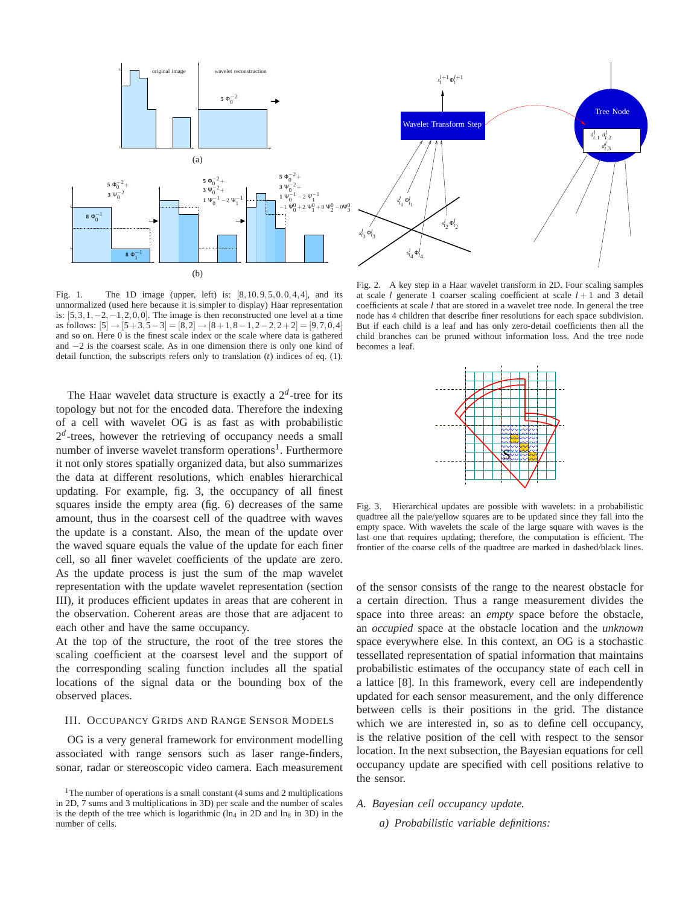

Fig. 1. The 1D image (upper, left) is: [8,10,9,5,0,0,4,4], and its unnormalized (used here because it is simpler to display) Haar representation is:  $[5,3,1,-2,-1,2,0,0]$ . The image is then reconstructed one level at a time as follows:  $[5]$  →  $[5+3,5-3]$  =  $[8,2]$  →  $[8+1,8-1,2-2,2+2]$  = [9,7,0,4] and so on. Here 0 is the finest scale index or the scale where data is gathered and −2 is the coarsest scale. As in one dimension there is only one kind of detail function, the subscripts refers only to translation (*t*) indices of eq. (1).

The Haar wavelet data structure is exactly a  $2^d$ -tree for its topology but not for the encoded data. Therefore the indexing of a cell with wavelet OG is as fast as with probabilistic  $2<sup>d</sup>$ -trees, however the retrieving of occupancy needs a small number of inverse wavelet transform operations<sup>1</sup>. Furthermore it not only stores spatially organized data, but also summarizes the data at different resolutions, which enables hierarchical updating. For example, fig. 3, the occupancy of all finest squares inside the empty area (fig. 6) decreases of the same amount, thus in the coarsest cell of the quadtree with waves the update is a constant. Also, the mean of the update over the waved square equals the value of the update for each finer cell, so all finer wavelet coefficients of the update are zero. As the update process is just the sum of the map wavelet representation with the update wavelet representation (section III), it produces efficient updates in areas that are coherent in the observation. Coherent areas are those that are adjacent to each other and have the same occupancy.

At the top of the structure, the root of the tree stores the scaling coefficient at the coarsest level and the support of the corresponding scaling function includes all the spatial locations of the signal data or the bounding box of the observed places.

#### III. OCCUPANCY GRIDS AND RANGE SENSOR MODELS

OG is a very general framework for environment modelling associated with range sensors such as laser range-finders, sonar, radar or stereoscopic video camera. Each measurement

Fig. 2. A key step in a Haar wavelet transform in 2D. Four scaling samples at scale *l* generate 1 coarser scaling coefficient at scale *l* + 1 and 3 detail coefficients at scale *l* that are stored in a wavelet tree node. In general the tree node has 4 children that describe finer resolutions for each space subdivision. But if each child is a leaf and has only zero-detail coefficients then all the child branches can be pruned without information loss. And the tree node becomes a leaf.



Fig. 3. Hierarchical updates are possible with wavelets: in a probabilistic quadtree all the pale/yellow squares are to be updated since they fall into the empty space. With wavelets the scale of the large square with waves is the last one that requires updating; therefore, the computation is efficient. The frontier of the coarse cells of the quadtree are marked in dashed/black lines.

of the sensor consists of the range to the nearest obstacle for a certain direction. Thus a range measurement divides the space into three areas: an *empty* space before the obstacle, an *occupied* space at the obstacle location and the *unknown* space everywhere else. In this context, an OG is a stochastic tessellated representation of spatial information that maintains probabilistic estimates of the occupancy state of each cell in a lattice [8]. In this framework, every cell are independently updated for each sensor measurement, and the only difference between cells is their positions in the grid. The distance which we are interested in, so as to define cell occupancy, is the relative position of the cell with respect to the sensor location. In the next subsection, the Bayesian equations for cell occupancy update are specified with cell positions relative to the sensor.

- *A. Bayesian cell occupancy update.*
	- *a) Probabilistic variable definitions:*

<sup>&</sup>lt;sup>1</sup>The number of operations is a small constant  $(4 \text{ sums and } 2 \text{ multiplications})$ in 2D, 7 sums and 3 multiplications in 3D) per scale and the number of scales is the depth of the tree which is logarithmic ( $\ln_4$  in 2D and  $\ln_8$  in 3D) in the number of cells.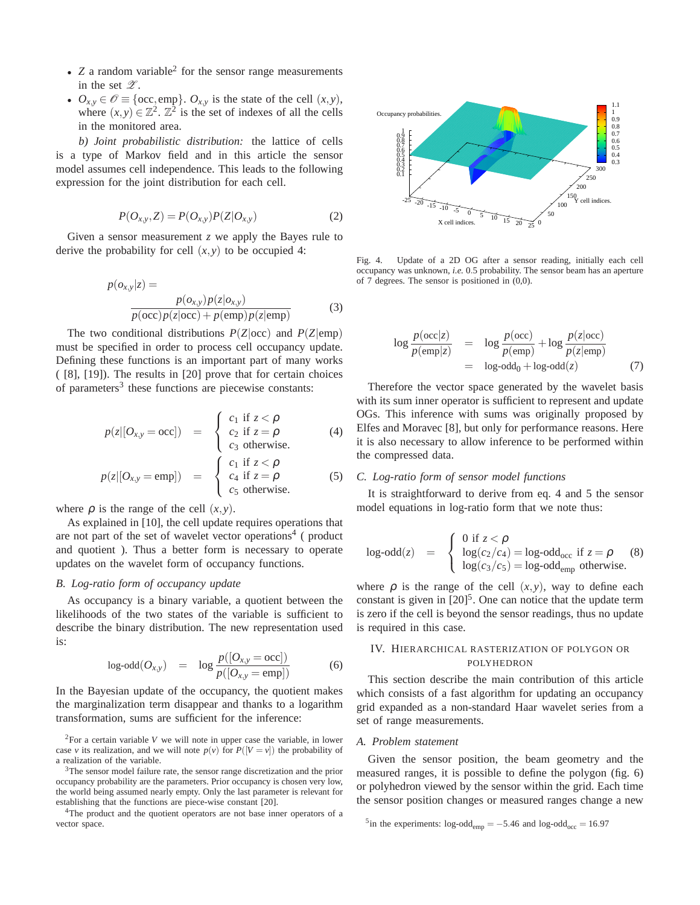- $\bullet$  Z a random variable<sup>2</sup> for the sensor range measurements in the set  $\mathscr{Z}$ .
- $O_{x,y} \in \mathcal{O} \equiv \{\text{occ, emp}\}\$ .  $O_{x,y}$  is the state of the cell  $(x,y)$ , where  $(x, y) \in \mathbb{Z}^2$ .  $\mathbb{Z}^2$  is the set of indexes of all the cells in the monitored area.

*b) Joint probabilistic distribution:* the lattice of cells is a type of Markov field and in this article the sensor model assumes cell independence. This leads to the following expression for the joint distribution for each cell.

$$
P(O_{x,y}, Z) = P(O_{x,y})P(Z|O_{x,y})
$$
\n<sup>(2)</sup>

Given a sensor measurement *z* we apply the Bayes rule to derive the probability for cell  $(x, y)$  to be occupied 4:

$$
p(o_{x,y}|z) =
$$
  
\n
$$
p(o_{x,y})p(z|o_{x,y})
$$
  
\n
$$
p(occ)p(z|occ) + p(emp)p(z|emp)
$$
\n(3)

The two conditional distributions  $P(Z|\text{occ})$  and  $P(Z|\text{emp})$ must be specified in order to process cell occupancy update. Defining these functions is an important part of many works ( [8], [19]). The results in [20] prove that for certain choices of parameters<sup>3</sup> these functions are piecewise constants:

$$
p(z|[O_{x,y} = occ]) = \begin{cases} c_1 \text{ if } z < \rho \\ c_2 \text{ if } z = \rho \\ c_3 \text{ otherwise.} \end{cases}
$$
 (4)

$$
p(z|[O_{x,y} = \text{emp}]) = \begin{cases} c_1 \text{ if } z < \rho \\ c_4 \text{ if } z = \rho \\ c_5 \text{ otherwise.} \end{cases}
$$
 (5)

where  $\rho$  is the range of the cell  $(x, y)$ .

As explained in [10], the cell update requires operations that are not part of the set of wavelet vector operations<sup>4</sup> (product and quotient ). Thus a better form is necessary to operate updates on the wavelet form of occupancy functions.

## *B. Log-ratio form of occupancy update*

As occupancy is a binary variable, a quotient between the likelihoods of the two states of the variable is sufficient to describe the binary distribution. The new representation used is:

$$
\log -odd(O_{x,y}) = \log \frac{p([O_{x,y} = occ])}{p([O_{x,y} = emp])}
$$
(6)

In the Bayesian update of the occupancy, the quotient makes the marginalization term disappear and thanks to a logarithm transformation, sums are sufficient for the inference:

<sup>4</sup>The product and the quotient operators are not base inner operators of a vector space.



Fig. 4. Update of a 2D OG after a sensor reading, initially each cell occupancy was unknown, *i.e.* 0.5 probability. The sensor beam has an aperture of 7 degrees. The sensor is positioned in (0,0).

$$
\log \frac{p(\text{occ}|z)}{p(\text{emp}|z)} = \log \frac{p(\text{occ})}{p(\text{emp})} + \log \frac{p(z|\text{occ})}{p(z|\text{emp})}
$$
  
= log-odd<sub>0</sub> + log-odd<sub>(z)</sub> (7)

Therefore the vector space generated by the wavelet basis with its sum inner operator is sufficient to represent and update OGs. This inference with sums was originally proposed by Elfes and Moravec [8], but only for performance reasons. Here it is also necessary to allow inference to be performed within the compressed data.

## *C. Log-ratio form of sensor model functions*

It is straightforward to derive from eq. 4 and 5 the sensor model equations in log-ratio form that we note thus:

$$
log-odd(z) = \begin{cases} 0 \text{ if } z < \rho \\ log(c_2/c_4) = log-odd_{\text{occ}} \text{ if } z = \rho \\ log(c_3/c_5) = log-odd_{\text{emp}} \text{ otherwise.} \end{cases}
$$
 (8)

where  $\rho$  is the range of the cell  $(x, y)$ , way to define each constant is given in  $[20]^{5}$ . One can notice that the update term is zero if the cell is beyond the sensor readings, thus no update is required in this case.

# IV. HIERARCHICAL RASTERIZATION OF POLYGON OR POLYHEDRON

This section describe the main contribution of this article which consists of a fast algorithm for updating an occupancy grid expanded as a non-standard Haar wavelet series from a set of range measurements.

#### *A. Problem statement*

Given the sensor position, the beam geometry and the measured ranges, it is possible to define the polygon (fig. 6) or polyhedron viewed by the sensor within the grid. Each time the sensor position changes or measured ranges change a new

 ${}^{2}$ For a certain variable *V* we will note in upper case the variable, in lower case *v* its realization, and we will note  $p(v)$  for  $P([V = v])$  the probability of a realization of the variable.

<sup>3</sup>The sensor model failure rate, the sensor range discretization and the prior occupancy probability are the parameters. Prior occupancy is chosen very low, the world being assumed nearly empty. Only the last parameter is relevant for establishing that the functions are piece-wise constant [20].

<sup>&</sup>lt;sup>5</sup>in the experiments:  $log-odd_{emp} = -5.46$  and  $log-odd_{occ} = 16.97$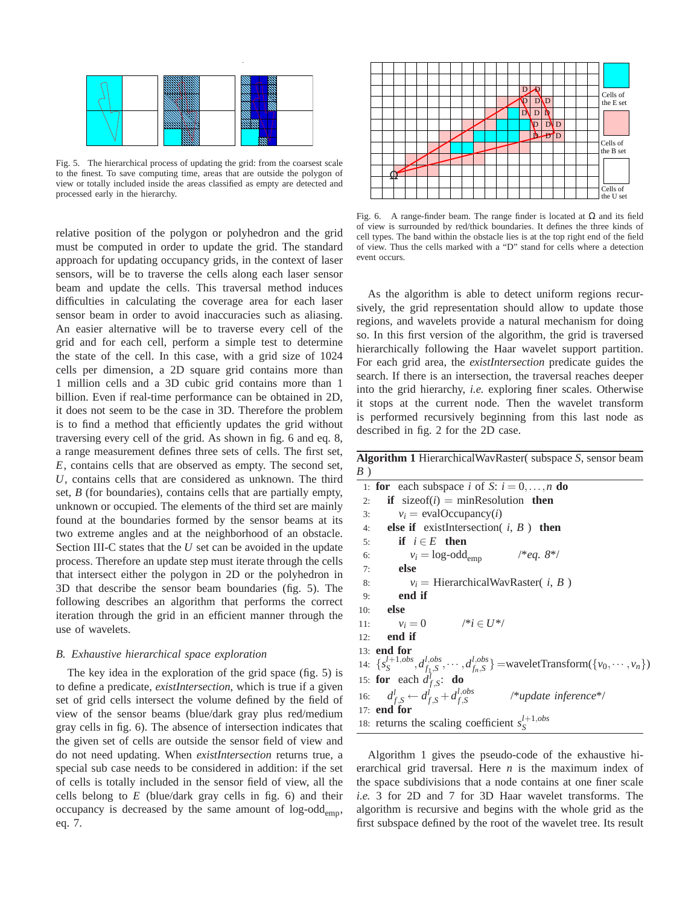

Fig. 5. The hierarchical process of updating the grid: from the coarsest scale to the finest. To save computing time, areas that are outside the polygon of view or totally included inside the areas classified as empty are detected and processed early in the hierarchy.

relative position of the polygon or polyhedron and the grid must be computed in order to update the grid. The standard approach for updating occupancy grids, in the context of laser sensors, will be to traverse the cells along each laser sensor beam and update the cells. This traversal method induces difficulties in calculating the coverage area for each laser sensor beam in order to avoid inaccuracies such as aliasing. An easier alternative will be to traverse every cell of the grid and for each cell, perform a simple test to determine the state of the cell. In this case, with a grid size of 1024 cells per dimension, a 2D square grid contains more than 1 million cells and a 3D cubic grid contains more than 1 billion. Even if real-time performance can be obtained in 2D, it does not seem to be the case in 3D. Therefore the problem is to find a method that efficiently updates the grid without traversing every cell of the grid. As shown in fig. 6 and eq. 8, a range measurement defines three sets of cells. The first set, *E*, contains cells that are observed as empty. The second set, *U*, contains cells that are considered as unknown. The third set, *B* (for boundaries), contains cells that are partially empty, unknown or occupied. The elements of the third set are mainly found at the boundaries formed by the sensor beams at its two extreme angles and at the neighborhood of an obstacle. Section III-C states that the *U* set can be avoided in the update process. Therefore an update step must iterate through the cells that intersect either the polygon in 2D or the polyhedron in 3D that describe the sensor beam boundaries (fig. 5). The following describes an algorithm that performs the correct iteration through the grid in an efficient manner through the use of wavelets.

#### *B. Exhaustive hierarchical space exploration*

The key idea in the exploration of the grid space (fig. 5) is to define a predicate, *existIntersection*, which is true if a given set of grid cells intersect the volume defined by the field of view of the sensor beams (blue/dark gray plus red/medium gray cells in fig. 6). The absence of intersection indicates that the given set of cells are outside the sensor field of view and do not need updating. When *existIntersection* returns true, a special sub case needs to be considered in addition: if the set of cells is totally included in the sensor field of view, all the cells belong to *E* (blue/dark gray cells in fig. 6) and their occupancy is decreased by the same amount of log-odd<sub>emp</sub>, eq. 7.



Fig. 6. A range-finder beam. The range finder is located at  $\Omega$  and its field of view is surrounded by red/thick boundaries. It defines the three kinds of cell types. The band within the obstacle lies is at the top right end of the field of view. Thus the cells marked with a "D" stand for cells where a detection event occurs.

As the algorithm is able to detect uniform regions recursively, the grid representation should allow to update those regions, and wavelets provide a natural mechanism for doing so. In this first version of the algorithm, the grid is traversed hierarchically following the Haar wavelet support partition. For each grid area, the *existIntersection* predicate guides the search. If there is an intersection, the traversal reaches deeper into the grid hierarchy, *i.e.* exploring finer scales. Otherwise it stops at the current node. Then the wavelet transform is performed recursively beginning from this last node as described in fig. 2 for the 2D case.

**Algorithm 1** HierarchicalWavRaster( subspace *S*, sensor beam *B* )

|    | 1: for each subspace i of S: $i = 0, , n$ do                                                                       |
|----|--------------------------------------------------------------------------------------------------------------------|
| 2: | if size of $(i)$ = min Resolution then                                                                             |
| 3: | $v_i$ = evalOccupancy( <i>i</i> )                                                                                  |
|    | 4: <b>else if</b> existIntersection( $i, B$ ) <b>then</b>                                                          |
|    | if $i \in E$ then<br>5:                                                                                            |
|    | 6: $v_i = \log - odd_{\text{emp}}$ /*eq. 8*/                                                                       |
|    | $7:$ else                                                                                                          |
| 8: | $v_i$ = HierarchicalWavRaster( <i>i</i> , <i>B</i> )                                                               |
|    | $9:$ end if                                                                                                        |
|    | 10: <b>else</b>                                                                                                    |
|    | 11: $v_i = 0$ /* $i \in U^*$ /                                                                                     |
|    | $12:$ end if                                                                                                       |
|    | 13: <b>end for</b>                                                                                                 |
|    | 14: $\{s_S^{l+1,obs}, d_{f_1,S}^{l,obs}, \cdots, d_{f_n,S}^{l,obs}\} =$ waveletTransform( $\{v_0, \cdots, v_n\}$ ) |
|    | 15: for each $d_{f,S}^l$ : do                                                                                      |
|    | 16: $d_{f,S}^l \leftarrow d_{f,S}^l + d_{f,S}^{l,obs}$ /*update inference*/                                        |
|    | 17: <b>end for</b>                                                                                                 |
|    | 18: returns the scaling coefficient $s_{\rm s}^{l+1,obs}$                                                          |
|    |                                                                                                                    |

Algorithm 1 gives the pseudo-code of the exhaustive hierarchical grid traversal. Here *n* is the maximum index of the space subdivisions that a node contains at one finer scale *i.e.* 3 for 2D and 7 for 3D Haar wavelet transforms. The algorithm is recursive and begins with the whole grid as the first subspace defined by the root of the wavelet tree. Its result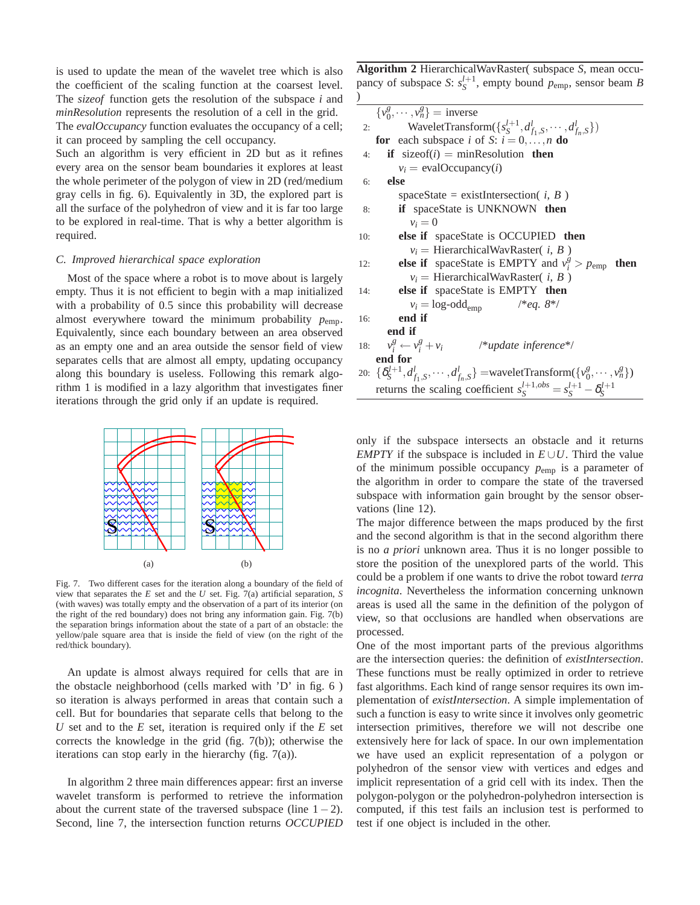is used to update the mean of the wavelet tree which is also the coefficient of the scaling function at the coarsest level. The *sizeof* function gets the resolution of the subspace *i* and *minResolution* represents the resolution of a cell in the grid. The *evalOccupancy* function evaluates the occupancy of a cell; it can proceed by sampling the cell occupancy.

Such an algorithm is very efficient in 2D but as it refines every area on the sensor beam boundaries it explores at least the whole perimeter of the polygon of view in 2D (red/medium gray cells in fig. 6). Equivalently in 3D, the explored part is all the surface of the polyhedron of view and it is far too large to be explored in real-time. That is why a better algorithm is required.

## *C. Improved hierarchical space exploration*

Most of the space where a robot is to move about is largely empty. Thus it is not efficient to begin with a map initialized with a probability of 0.5 since this probability will decrease almost everywhere toward the minimum probability  $p_{\text{emp}}$ . Equivalently, since each boundary between an area observed as an empty one and an area outside the sensor field of view separates cells that are almost all empty, updating occupancy along this boundary is useless. Following this remark algorithm 1 is modified in a lazy algorithm that investigates finer iterations through the grid only if an update is required.



Fig. 7. Two different cases for the iteration along a boundary of the field of view that separates the *E* set and the *U* set. Fig. 7(a) artificial separation, *S* (with waves) was totally empty and the observation of a part of its interior (on the right of the red boundary) does not bring any information gain. Fig. 7(b) the separation brings information about the state of a part of an obstacle: the yellow/pale square area that is inside the field of view (on the right of the red/thick boundary).

An update is almost always required for cells that are in the obstacle neighborhood (cells marked with 'D' in fig. 6 ) so iteration is always performed in areas that contain such a cell. But for boundaries that separate cells that belong to the *U* set and to the *E* set, iteration is required only if the *E* set corrects the knowledge in the grid (fig. 7(b)); otherwise the iterations can stop early in the hierarchy (fig. 7(a)).

In algorithm 2 three main differences appear: first an inverse wavelet transform is performed to retrieve the information about the current state of the traversed subspace (line  $1-2$ ). Second, line 7, the intersection function returns *OCCUPIED*

**Algorithm 2** HierarchicalWavRaster( subspace *S*, mean occupancy of subspace *S*:  $s_S^{l+1}$ , empty bound  $p_{\text{emp}}$ , sensor beam *B* )

|     | $\{v_0^g, \cdots, v_n^g\}$ = inverse                                                                             |
|-----|------------------------------------------------------------------------------------------------------------------|
| 2:  | WaveletTransform $(\{s_S^{l+1}, d_{f_1,S}^l, \dots, d_{f_n,S}^l\})$                                              |
|     | for each subspace <i>i</i> of <i>S</i> : $i = 0, , n$ do                                                         |
| 4:  | if size of $(i)$ = min Resolution then                                                                           |
|     | $v_i$ = evalOccupancy( <i>i</i> )                                                                                |
| 6:  | else                                                                                                             |
|     | spaceState = existIntersection( $i, B$ )                                                                         |
| 8:  | if spaceState is UNKNOWN then                                                                                    |
|     | $v_i = 0$                                                                                                        |
| 10: | else if spaceState is OCCUPIED then                                                                              |
|     | $v_i$ = HierarchicalWavRaster( <i>i</i> , <i>B</i> )                                                             |
| 12: | <b>else if</b> spaceState is EMPTY and $v_i^g > p_{\text{emp}}$<br>then                                          |
|     | $v_i$ = HierarchicalWavRaster( <i>i</i> , <i>B</i> )                                                             |
| 14: | else if spaceState is EMPTY then                                                                                 |
|     | $v_i = \log - \text{odd}_{\text{emp}}$ /*eq. 8*/                                                                 |
| 16: | end if                                                                                                           |
|     | end if                                                                                                           |
|     | 18: $v_i^g \leftarrow v_i^g + v_i$<br>$/*update$ inference*/                                                     |
|     | end for                                                                                                          |
|     | 20: $\{\delta_S^{l+1}, d_{f_1, S}^l, \dots, d_{f_n, S}^l\}$ =waveletTransform( $\{v_0^g, \dots, v_n^g\}$ )       |
|     | returns the scaling coefficient $s_{\mathcal{S}}^{l+1,obs} = s_{\mathcal{S}}^{l+1} - \delta_{\mathcal{S}}^{l+1}$ |

only if the subspace intersects an obstacle and it returns *EMPTY* if the subspace is included in  $E \cup U$ . Third the value of the minimum possible occupancy *p*emp is a parameter of the algorithm in order to compare the state of the traversed subspace with information gain brought by the sensor observations (line 12).

The major difference between the maps produced by the first and the second algorithm is that in the second algorithm there is no *a priori* unknown area. Thus it is no longer possible to store the position of the unexplored parts of the world. This could be a problem if one wants to drive the robot toward *terra incognita*. Nevertheless the information concerning unknown areas is used all the same in the definition of the polygon of view, so that occlusions are handled when observations are processed.

One of the most important parts of the previous algorithms are the intersection queries: the definition of *existIntersection*. These functions must be really optimized in order to retrieve fast algorithms. Each kind of range sensor requires its own implementation of *existIntersection*. A simple implementation of such a function is easy to write since it involves only geometric intersection primitives, therefore we will not describe one extensively here for lack of space. In our own implementation we have used an explicit representation of a polygon or polyhedron of the sensor view with vertices and edges and implicit representation of a grid cell with its index. Then the polygon-polygon or the polyhedron-polyhedron intersection is computed, if this test fails an inclusion test is performed to test if one object is included in the other.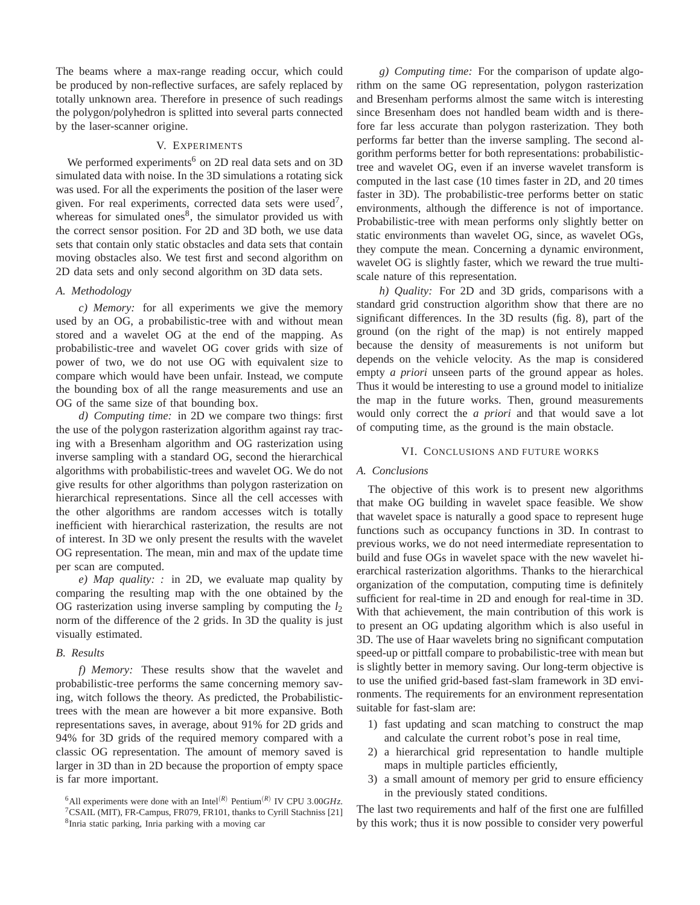The beams where a max-range reading occur, which could be produced by non-reflective surfaces, are safely replaced by totally unknown area. Therefore in presence of such readings the polygon/polyhedron is splitted into several parts connected by the laser-scanner origine.

# V. EXPERIMENTS

We performed experiments<sup>6</sup> on 2D real data sets and on 3D simulated data with noise. In the 3D simulations a rotating sick was used. For all the experiments the position of the laser were given. For real experiments, corrected data sets were used<sup>7</sup>, whereas for simulated ones<sup>8</sup>, the simulator provided us with the correct sensor position. For 2D and 3D both, we use data sets that contain only static obstacles and data sets that contain moving obstacles also. We test first and second algorithm on 2D data sets and only second algorithm on 3D data sets.

#### *A. Methodology*

*c) Memory:* for all experiments we give the memory used by an OG, a probabilistic-tree with and without mean stored and a wavelet OG at the end of the mapping. As probabilistic-tree and wavelet OG cover grids with size of power of two, we do not use OG with equivalent size to compare which would have been unfair. Instead, we compute the bounding box of all the range measurements and use an OG of the same size of that bounding box.

*d) Computing time:* in 2D we compare two things: first the use of the polygon rasterization algorithm against ray tracing with a Bresenham algorithm and OG rasterization using inverse sampling with a standard OG, second the hierarchical algorithms with probabilistic-trees and wavelet OG. We do not give results for other algorithms than polygon rasterization on hierarchical representations. Since all the cell accesses with the other algorithms are random accesses witch is totally inefficient with hierarchical rasterization, the results are not of interest. In 3D we only present the results with the wavelet OG representation. The mean, min and max of the update time per scan are computed.

*e) Map quality: :* in 2D, we evaluate map quality by comparing the resulting map with the one obtained by the OG rasterization using inverse sampling by computing the  $l_2$ norm of the difference of the 2 grids. In 3D the quality is just visually estimated.

## *B. Results*

*f) Memory:* These results show that the wavelet and probabilistic-tree performs the same concerning memory saving, witch follows the theory. As predicted, the Probabilistictrees with the mean are however a bit more expansive. Both representations saves, in average, about 91% for 2D grids and 94% for 3D grids of the required memory compared with a classic OG representation. The amount of memory saved is larger in 3D than in 2D because the proportion of empty space is far more important.

*g) Computing time:* For the comparison of update algorithm on the same OG representation, polygon rasterization and Bresenham performs almost the same witch is interesting since Bresenham does not handled beam width and is therefore far less accurate than polygon rasterization. They both performs far better than the inverse sampling. The second algorithm performs better for both representations: probabilistictree and wavelet OG, even if an inverse wavelet transform is computed in the last case (10 times faster in 2D, and 20 times faster in 3D). The probabilistic-tree performs better on static environments, although the difference is not of importance. Probabilistic-tree with mean performs only slightly better on static environments than wavelet OG, since, as wavelet OGs, they compute the mean. Concerning a dynamic environment, wavelet OG is slightly faster, which we reward the true multiscale nature of this representation.

*h) Quality:* For 2D and 3D grids, comparisons with a standard grid construction algorithm show that there are no significant differences. In the 3D results (fig. 8), part of the ground (on the right of the map) is not entirely mapped because the density of measurements is not uniform but depends on the vehicle velocity. As the map is considered empty *a priori* unseen parts of the ground appear as holes. Thus it would be interesting to use a ground model to initialize the map in the future works. Then, ground measurements would only correct the *a priori* and that would save a lot of computing time, as the ground is the main obstacle.

#### VI. CONCLUSIONS AND FUTURE WORKS

## *A. Conclusions*

The objective of this work is to present new algorithms that make OG building in wavelet space feasible. We show that wavelet space is naturally a good space to represent huge functions such as occupancy functions in 3D. In contrast to previous works, we do not need intermediate representation to build and fuse OGs in wavelet space with the new wavelet hierarchical rasterization algorithms. Thanks to the hierarchical organization of the computation, computing time is definitely sufficient for real-time in 2D and enough for real-time in 3D. With that achievement, the main contribution of this work is to present an OG updating algorithm which is also useful in 3D. The use of Haar wavelets bring no significant computation speed-up or pittfall compare to probabilistic-tree with mean but is slightly better in memory saving. Our long-term objective is to use the unified grid-based fast-slam framework in 3D environments. The requirements for an environment representation suitable for fast-slam are:

- 1) fast updating and scan matching to construct the map and calculate the current robot's pose in real time,
- 2) a hierarchical grid representation to handle multiple maps in multiple particles efficiently,
- 3) a small amount of memory per grid to ensure efficiency in the previously stated conditions.

The last two requirements and half of the first one are fulfilled by this work; thus it is now possible to consider very powerful

<sup>&</sup>lt;sup>6</sup>All experiments were done with an Intel<sup>(*R*)</sup> Pentium<sup>(*R*)</sup> IV CPU 3.00*GHz*. <sup>7</sup>CSAIL (MIT), FR-Campus, FR079, FR101, thanks to Cyrill Stachniss [21]

<sup>8</sup> Inria static parking, Inria parking with a moving car